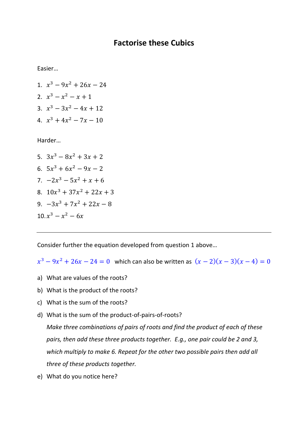## **Factorise these Cubics**

Easier…

1.  $x^3 - 9x^2 + 26x - 24$ 2.  $x^3 - x^2 - x + 1$ 3.  $x^3 - 3x^2 - 4x + 12$ 4.  $x^3 + 4x^2 - 7x - 10$ 

Harder…

5.  $3x^3 - 8x^2 + 3x + 2$ 6.  $5x^3 + 6x^2 - 9x - 2$ 7.  $-2x^3 - 5x^2 + x + 6$ 8.  $10x^3 + 37x^2 + 22x + 3$ 9.  $-3x^3 + 7x^2 + 22x - 8$  $10 \cdot x^3 - x^2 - 6x$ 

Consider further the equation developed from question 1 above…

 $x^3 - 9x^2 + 26x - 24 = 0$  which can also be written as  $(x - 2)(x - 3)(x - 4) = 0$ 

- a) What are values of the roots?
- b) What is the product of the roots?
- c) What is the sum of the roots?
- d) What is the sum of the product-of-pairs-of-roots?

*Make three combinations of pairs of roots and find the product of each of these pairs, then add these three products together. E.g., one pair could be 2 and 3, which multiply to make 6. Repeat for the other two possible pairs then add all three of these products together.*

e) What do you notice here?